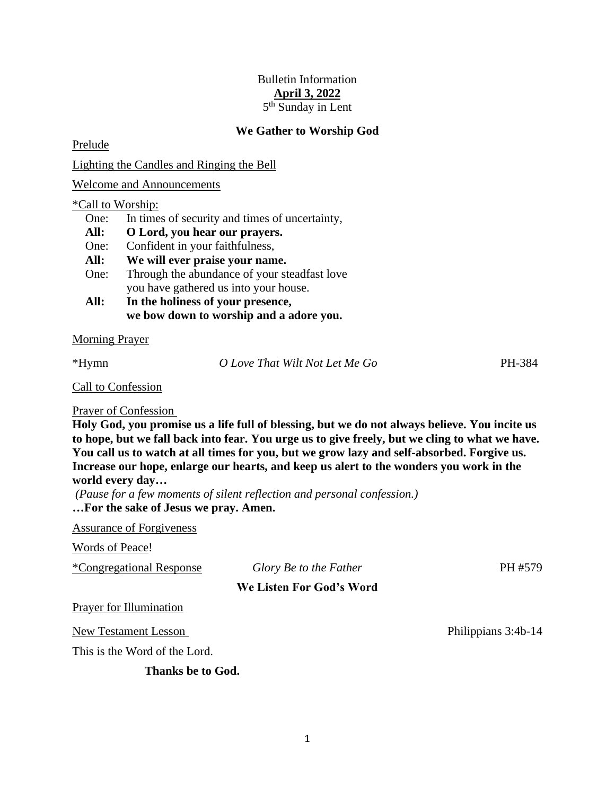# Bulletin Information **April 3, 2022** 5<sup>th</sup> Sunday in Lent

## **We Gather to Worship God**

Prelude

Lighting the Candles and Ringing the Bell

Welcome and Announcements

#### \*Call to Worship:

| One:<br>In times of security and times of uncertainty, |
|--------------------------------------------------------|
|--------------------------------------------------------|

- **All: O Lord, you hear our prayers.**
- One: Confident in your faithfulness,

**All: We will ever praise your name.**

- One: Through the abundance of your steadfast love you have gathered us into your house.
- **All: In the holiness of your presence, we bow down to worship and a adore you.**

#### Morning Prayer

\*Hymn *O Love That Wilt Not Let Me Go* PH-384

Call to Confession

### Prayer of Confession

**Holy God, you promise us a life full of blessing, but we do not always believe. You incite us to hope, but we fall back into fear. You urge us to give freely, but we cling to what we have. You call us to watch at all times for you, but we grow lazy and self-absorbed. Forgive us. Increase our hope, enlarge our hearts, and keep us alert to the wonders you work in the world every day…**

*(Pause for a few moments of silent reflection and personal confession.)* **…For the sake of Jesus we pray. Amen.**

Assurance of Forgiveness

Words of Peace!

| <i>*Congregational Response</i> | Glory Be to the Father | PH #579 |
|---------------------------------|------------------------|---------|
|                                 |                        |         |

**We Listen For God's Word**

Prayer for Illumination

New Testament Lesson Philippians 3:4b-14

This is the Word of the Lord.

**Thanks be to God.**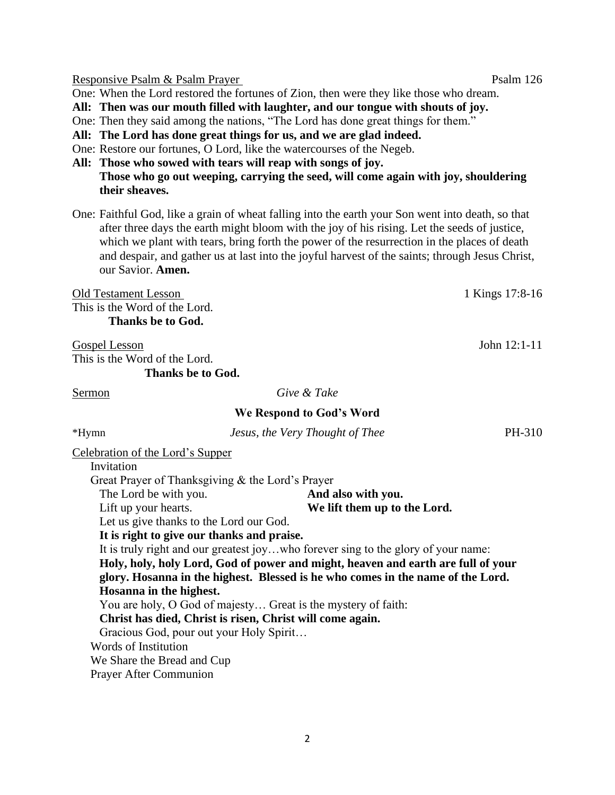Responsive Psalm & Psalm Prayer Psalm 126

One: When the Lord restored the fortunes of Zion, then were they like those who dream.

**All: Then was our mouth filled with laughter, and our tongue with shouts of joy.**

One: Then they said among the nations, "The Lord has done great things for them."

**All: The Lord has done great things for us, and we are glad indeed.**

One: Restore our fortunes, O Lord, like the watercourses of the Negeb.

**All: Those who sowed with tears will reap with songs of joy. Those who go out weeping, carrying the seed, will come again with joy, shouldering their sheaves.**

One: Faithful God, like a grain of wheat falling into the earth your Son went into death, so that after three days the earth might bloom with the joy of his rising. Let the seeds of justice, which we plant with tears, bring forth the power of the resurrection in the places of death and despair, and gather us at last into the joyful harvest of the saints; through Jesus Christ, our Savior. **Amen.**

Old Testament Lesson 1 Kings 17:8-16 This is the Word of the Lord. **Thanks be to God.**

Gospel Lesson John 12:1-11 This is the Word of the Lord.

**Thanks be to God.**

| Sermon                           |                                                  | Give & Take                                                                       |        |
|----------------------------------|--------------------------------------------------|-----------------------------------------------------------------------------------|--------|
|                                  |                                                  | We Respond to God's Word                                                          |        |
| *Hymn                            |                                                  | Jesus, the Very Thought of Thee                                                   | PH-310 |
| Celebration of the Lord's Supper |                                                  |                                                                                   |        |
| Invitation                       |                                                  |                                                                                   |        |
|                                  | Great Prayer of Thanksgiving & the Lord's Prayer |                                                                                   |        |
| The Lord be with you.            |                                                  | And also with you.                                                                |        |
| Lift up your hearts.             |                                                  | We lift them up to the Lord.                                                      |        |
|                                  | Let us give thanks to the Lord our God.          |                                                                                   |        |
|                                  | It is right to give our thanks and praise.       |                                                                                   |        |
|                                  |                                                  | It is truly right and our greatest joywho forever sing to the glory of your name: |        |
|                                  |                                                  | Holy, holy, holy Lord, God of power and might, heaven and earth are full of your  |        |
|                                  |                                                  | glory. Hosanna in the highest. Blessed is he who comes in the name of the Lord.   |        |
| Hosanna in the highest.          |                                                  |                                                                                   |        |
|                                  |                                                  | You are holy, O God of majesty Great is the mystery of faith:                     |        |
|                                  |                                                  | Christ has died, Christ is risen, Christ will come again.                         |        |
|                                  | Gracious God, pour out your Holy Spirit          |                                                                                   |        |
| Words of Institution             |                                                  |                                                                                   |        |
| We Share the Bread and Cup       |                                                  |                                                                                   |        |
| <b>Prayer After Communion</b>    |                                                  |                                                                                   |        |